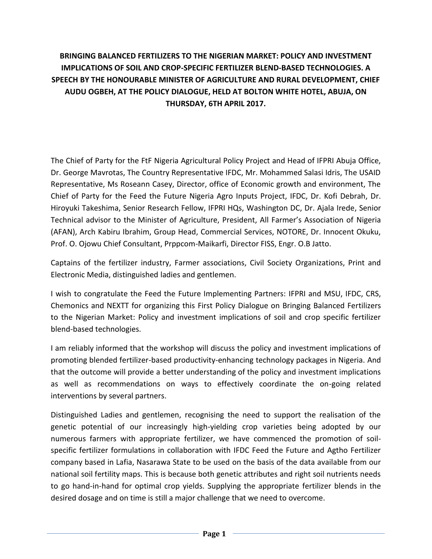## **BRINGING BALANCED FERTILIZERS TO THE NIGERIAN MARKET: POLICY AND INVESTMENT IMPLICATIONS OF SOIL AND CROP-SPECIFIC FERTILIZER BLEND-BASED TECHNOLOGIES. A SPEECH BY THE HONOURABLE MINISTER OF AGRICULTURE AND RURAL DEVELOPMENT, CHIEF AUDU OGBEH, AT THE POLICY DIALOGUE, HELD AT BOLTON WHITE HOTEL, ABUJA, ON THURSDAY, 6TH APRIL 2017.**

The Chief of Party for the FtF Nigeria Agricultural Policy Project and Head of IFPRI Abuja Office, Dr. George Mavrotas, The Country Representative IFDC, Mr. Mohammed Salasi Idris, The USAID Representative, Ms Roseann Casey, Director, office of Economic growth and environment, The Chief of Party for the Feed the Future Nigeria Agro Inputs Project, IFDC, Dr. Kofi Debrah, Dr. Hiroyuki Takeshima, Senior Research Fellow, IFPRI HQs, Washington DC, Dr. Ajala Irede, Senior Technical advisor to the Minister of Agriculture, President, All Farmer's Association of Nigeria (AFAN), Arch Kabiru Ibrahim, Group Head, Commercial Services, NOTORE, Dr. Innocent Okuku, Prof. O. Ojowu Chief Consultant, Prppcom-Maikarfi, Director FISS, Engr. O.B Jatto.

Captains of the fertilizer industry, Farmer associations, Civil Society Organizations, Print and Electronic Media, distinguished ladies and gentlemen.

I wish to congratulate the Feed the Future Implementing Partners: IFPRI and MSU, IFDC, CRS, Chemonics and NEXTT for organizing this First Policy Dialogue on Bringing Balanced Fertilizers to the Nigerian Market: Policy and investment implications of soil and crop specific fertilizer blend-based technologies.

I am reliably informed that the workshop will discuss the policy and investment implications of promoting blended fertilizer-based productivity-enhancing technology packages in Nigeria. And that the outcome will provide a better understanding of the policy and investment implications as well as recommendations on ways to effectively coordinate the on-going related interventions by several partners.

Distinguished Ladies and gentlemen, recognising the need to support the realisation of the genetic potential of our increasingly high-yielding crop varieties being adopted by our numerous farmers with appropriate fertilizer, we have commenced the promotion of soilspecific fertilizer formulations in collaboration with IFDC Feed the Future and Agtho Fertilizer company based in Lafia, Nasarawa State to be used on the basis of the data available from our national soil fertility maps. This is because both genetic attributes and right soil nutrients needs to go hand-in-hand for optimal crop yields. Supplying the appropriate fertilizer blends in the desired dosage and on time is still a major challenge that we need to overcome.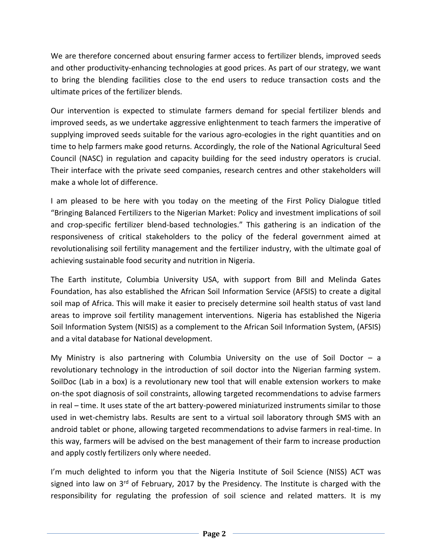We are therefore concerned about ensuring farmer access to fertilizer blends, improved seeds and other productivity-enhancing technologies at good prices. As part of our strategy, we want to bring the blending facilities close to the end users to reduce transaction costs and the ultimate prices of the fertilizer blends.

Our intervention is expected to stimulate farmers demand for special fertilizer blends and improved seeds, as we undertake aggressive enlightenment to teach farmers the imperative of supplying improved seeds suitable for the various agro-ecologies in the right quantities and on time to help farmers make good returns. Accordingly, the role of the National Agricultural Seed Council (NASC) in regulation and capacity building for the seed industry operators is crucial. Their interface with the private seed companies, research centres and other stakeholders will make a whole lot of difference.

I am pleased to be here with you today on the meeting of the First Policy Dialogue titled "Bringing Balanced Fertilizers to the Nigerian Market: Policy and investment implications of soil and crop-specific fertilizer blend-based technologies." This gathering is an indication of the responsiveness of critical stakeholders to the policy of the federal government aimed at revolutionalising soil fertility management and the fertilizer industry, with the ultimate goal of achieving sustainable food security and nutrition in Nigeria.

The Earth institute, Columbia University USA, with support from Bill and Melinda Gates Foundation, has also established the African Soil Information Service (AFSIS) to create a digital soil map of Africa. This will make it easier to precisely determine soil health status of vast land areas to improve soil fertility management interventions. Nigeria has established the Nigeria Soil Information System (NISIS) as a complement to the African Soil Information System, (AFSIS) and a vital database for National development.

My Ministry is also partnering with Columbia University on the use of Soil Doctor  $-$  a revolutionary technology in the introduction of soil doctor into the Nigerian farming system. SoilDoc (Lab in a box) is a revolutionary new tool that will enable extension workers to make on-the spot diagnosis of soil constraints, allowing targeted recommendations to advise farmers in real – time. It uses state of the art battery-powered miniaturized instruments similar to those used in wet-chemistry labs. Results are sent to a virtual soil laboratory through SMS with an android tablet or phone, allowing targeted recommendations to advise farmers in real-time. In this way, farmers will be advised on the best management of their farm to increase production and apply costly fertilizers only where needed.

I'm much delighted to inform you that the Nigeria Institute of Soil Science (NISS) ACT was signed into law on 3<sup>rd</sup> of February, 2017 by the Presidency. The Institute is charged with the responsibility for regulating the profession of soil science and related matters. It is my